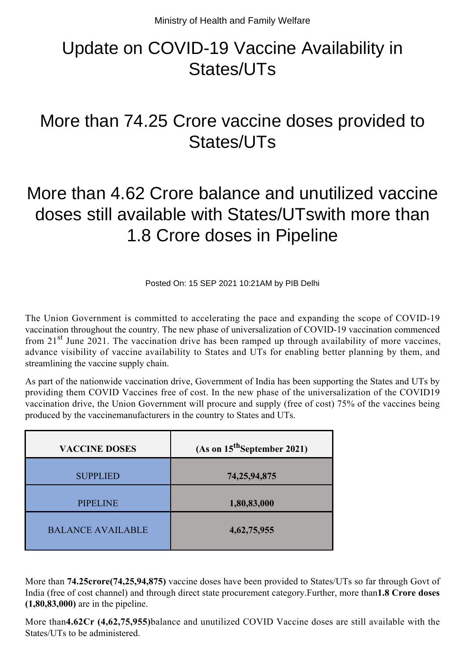## Update on COVID-19 Vaccine Availability in States/UTs

## More than 74.25 Crore vaccine doses provided to States/UTs

## More than 4.62 Crore balance and unutilized vaccine doses still available with States/UTswith more than 1.8 Crore doses in Pipeline

Posted On: 15 SEP 2021 10:21AM by PIB Delhi

The Union Government is committed to accelerating the pace and expanding the scope of COVID-19 vaccination throughout the country. The new phase of universalization of COVID-19 vaccination commenced from 21<sup>st</sup> June 2021. The vaccination drive has been ramped up through availability of more vaccines, advance visibility of vaccine availability to States and UTs for enabling better planning by them, and streamlining the vaccine supply chain.

As part of the nationwide vaccination drive, Government of India has been supporting the States and UTs by providing them COVID Vaccines free of cost. In the new phase of the universalization of the COVID19 vaccination drive, the Union Government will procure and supply (free of cost) 75% of the vaccines being produced by the vaccinemanufacturers in the country to States and UTs.

| <b>VACCINE DOSES</b>     | $(As on 15th September 2021)$ |
|--------------------------|-------------------------------|
| <b>SUPPLIED</b>          | 74, 25, 94, 875               |
| <b>PIPELINE</b>          | 1,80,83,000                   |
| <b>BALANCE AVAILABLE</b> | 4, 62, 75, 955                |

More than **74.25crore(74,25,94,875)** vaccine doses have been provided to States/UTs so far through Govt of India (free of cost channel) and through direct state procurement category.Further, more than**1.8 Crore doses (1,80,83,000)** are in the pipeline.

More than**4.62Cr (4,62,75,955)**balance and unutilized COVID Vaccine doses are still available with the States/UTs to be administered.